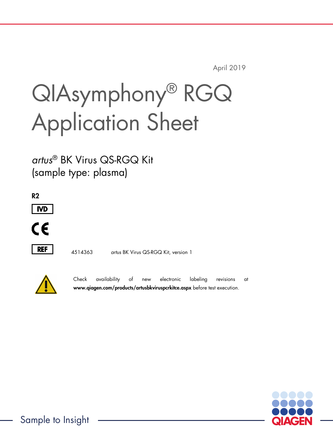April 2019

# QIAsymphony® RGQ Application Sheet

*artus*® BK Virus QS-RGQ Kit (sample type: plasma)







4514363 *artus* BK Virus QS-RGQ Kit, version 1



Check availability of new electronic labeling revisions at www.qiagen.com/products/artusbkviruspcrkitce.aspx before test execution.

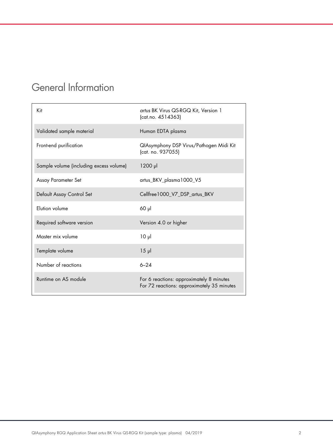# General Information

| Kit                                     | artus BK Virus QS-RGQ Kit, Version 1<br>(cat.no. 4514363)                              |
|-----------------------------------------|----------------------------------------------------------------------------------------|
| Validated sample material               | Human EDTA plasma                                                                      |
| Front-end purification                  | QIAsymphony DSP Virus/Pathogen Midi Kit<br>(cat. no. 937055)                           |
| Sample volume (including excess volume) | $1200$ $\mu$                                                                           |
| Assay Parameter Set                     | artus_BKV_plasma1000_V5                                                                |
| Default Assay Control Set               | Cellfree 1000_V7_DSP_artus_BKV                                                         |
| Elution volume                          | $60$ $\mu$                                                                             |
| Required software version               | Version 4.0 or higher                                                                  |
| Master mix volume                       | $10 \mu$                                                                               |
| Template volume                         | $15$ $\mu$                                                                             |
| Number of reactions                     | $6 - 24$                                                                               |
| Runtime on AS module                    | For 6 reactions: approximately 8 minutes<br>For 72 reactions: approximately 35 minutes |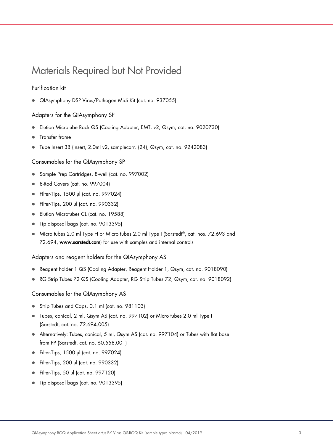# Materials Required but Not Provided

#### Purification kit

QIAsymphony DSP Virus/Pathogen Midi Kit (cat. no. 937055)

#### Adapters for the QIAsymphony SP

- Elution Microtube Rack QS (Cooling Adapter, EMT, v2, Qsym, cat. no. 9020730)
- **•** Transfer frame
- Tube Insert 3B (Insert, 2.0ml v2, samplecarr. (24), Qsym, cat. no. 9242083)

Consumables for the QIAsymphony SP

- Sample Prep Cartridges, 8-well (cat. no. 997002)
- 8-Rod Covers (cat. no. 997004)
- Filter-Tips, 1500 µl (cat. no. 997024)
- Filter-Tips, 200 µl (cat. no. 990332)
- **Elution Microtubes CL (cat. no. 19588)**
- Tip disposal bags (cat. no. 9013395)
- Micro tubes 2.0 ml Type H or Micro tubes 2.0 ml Type I (Sarstedt®, cat. nos. 72.693 and 72.694, www.sarstedt.com) for use with samples and internal controls

Adapters and reagent holders for the QIAsymphony AS

- Reagent holder 1 QS (Cooling Adapter, Reagent Holder 1, Qsym, cat. no. 9018090)
- RG Strip Tubes 72 QS (Cooling Adapter, RG Strip Tubes 72, Qsym, cat. no. 9018092)

Consumables for the QIAsymphony AS

- Strip Tubes and Caps, 0.1 ml (cat. no. 981103)
- Tubes, conical, 2 ml, Qsym AS (cat. no. 997102) or Micro tubes 2.0 ml Type I (Sarstedt, cat. no. 72.694.005)
- Alternatively: Tubes, conical, 5 ml, Qsym AS (cat. no. 997104) or Tubes with flat base from PP (Sarstedt, cat. no. 60.558.001)
- Filter-Tips, 1500 µl (cat. no. 997024)
- Filter-Tips, 200 µl (cat. no. 990332)
- Filter-Tips, 50 µl (cat. no. 997120)
- Tip disposal bags (cat. no. 9013395)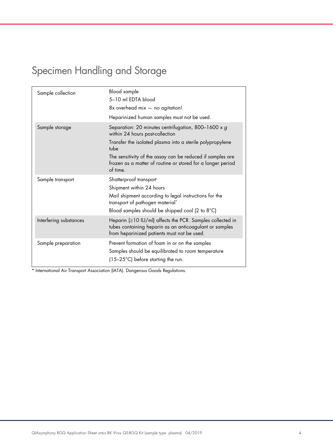# Specimen Handling and Storage

| Sample collection      | Blood sample<br>5-10 ml EDTA blood<br>$8x$ overhead mix $-$ no agitation!<br>Heparinized human samples must not be used.                                                                                                                                                                             |
|------------------------|------------------------------------------------------------------------------------------------------------------------------------------------------------------------------------------------------------------------------------------------------------------------------------------------------|
| Sample storage         | Separation: 20 minutes centrifugation, 800-1600 x g<br>within 24 hours post-collection<br>Transfer the isolated plasma into a sterile polypropylene<br>tube<br>The sensitivity of the assay can be reduced if samples are<br>frozen as a matter of routine or stored for a longer period<br>of time. |
| Sample transport       | Shatterproof transport<br>Shipment within 24 hours<br>Mail shipment according to legal instructions for the<br>transport of pathogen material*<br>Blood samples should be shipped cool (2 to 8°C)                                                                                                    |
| Interfering substances | Heparin (≥10 IU/ml) affects the PCR. Samples collected in<br>tubes containing heparin as an anticoagulant or samples<br>from heparinized patients must not be used.                                                                                                                                  |
| Sample preparation     | Prevent formation of foam in or on the samples<br>Samples should be equilibrated to room temperature<br>$(15-25^{\circ}C)$ before starting the run.                                                                                                                                                  |

\* International Air Transport Association (IATA). Dangerous Goods Regulations.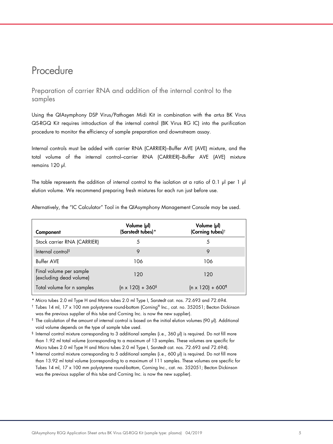# Procedure

Preparation of carrier RNA and addition of the internal control to the samples

Using the QIAsymphony DSP Virus/Pathogen Midi Kit in combination with the *artus* BK Virus QS-RGQ Kit requires introduction of the internal control (BK Virus RG IC) into the purification procedure to monitor the efficiency of sample preparation and downstream assay.

Internal controls must be added with carrier RNA (CARRIER)–Buffer AVE (AVE) mixture, and the total volume of the internal control–carrier RNA (CARRIER)–Buffer AVE (AVE) mixture remains 120 µl.

The table represents the addition of internal control to the isolation at a ratio of 0.1  $\mu$  per 1  $\mu$ elution volume. We recommend preparing fresh mixtures for each run just before use.

| Component                                          | Volume (µl)<br>(Sarstedt tubes)*    | Volume (µl)<br>(Corning tubes) <sup>†</sup> |
|----------------------------------------------------|-------------------------------------|---------------------------------------------|
| Stock carrier RNA (CARRIER)                        | 5                                   | 5                                           |
| Internal control <sup>#</sup>                      | 9                                   |                                             |
| <b>Buffer AVE</b>                                  | 106                                 | 106                                         |
| Final volume per sample<br>(excluding dead volume) | 120                                 | 120                                         |
| Total volume for n samples                         | $(n \times 120) + 360$ <sup>§</sup> | $(n \times 120) + 600$ <sup>1</sup>         |

Alternatively, the "IC Calculator" Tool in the QIAsymphony Management Console may be used.

\* Micro tubes 2.0 ml Type H and Micro tubes 2.0 ml Type I, Sarstedt cat. nos. 72.693 and 72.694.

† Tubes 14 ml, 17 x 100 mm polystyrene round-bottom (Corning® Inc., cat. no. 352051; Becton Dickinson was the previous supplier of this tube and Corning Inc. is now the new supplier).

‡ The calculation of the amount of internal control is based on the initial elution volumes (90 µl). Additional void volume depends on the type of sample tube used.

§ Internal control mixture corresponding to 3 additional samples (i.e., 360 µl) is required. Do not fill more than 1.92 ml total volume (corresponding to a maximum of 13 samples. These volumes are specific for Micro tubes 2.0 ml Type H and Micro tubes 2.0 ml Type I, Sarstedt cat. nos. 72.693 and 72.694).

¶ Internal control mixture corresponding to 5 additional samples (i.e., 600 µl) is required. Do not fill more than 13.92 ml total volume (corresponding to a maximum of 111 samples. These volumes are specific for Tubes 14 ml, 17 x 100 mm polystyrene round-bottom, Corning Inc., cat. no. 352051; Becton Dickinson was the previous supplier of this tube and Corning Inc. is now the new supplier).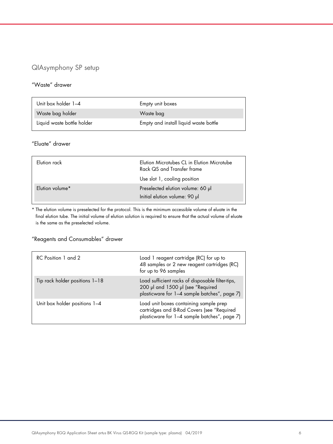# QIAsymphony SP setup

#### "Waste" drawer

| Unit box holder 1-4        | Empty unit boxes                      |
|----------------------------|---------------------------------------|
| Waste bag holder           | Waste bag                             |
| Liquid waste bottle holder | Empty and install liquid waste bottle |

## "Eluate" drawer

| Flution rack    | Elution Microtubes CL in Elution Microtube<br>Rack QS and Transfer frame<br>Use slot 1, cooling position |
|-----------------|----------------------------------------------------------------------------------------------------------|
| Elution volume* | Preselected elution volume: 60 µl<br>Initial elution volume: 90 µl                                       |

\* The elution volume is preselected for the protocol. This is the minimum accessible volume of eluate in the final elution tube. The initial volume of elution solution is required to ensure that the actual volume of eluate is the same as the preselected volume.

## "Reagents and Consumables" drawer

| RC Position 1 and 2            | Load 1 reagent cartridge (RC) for up to<br>48 samples or 2 new reagent cartridges (RC)<br>for up to 96 samples                        |
|--------------------------------|---------------------------------------------------------------------------------------------------------------------------------------|
| Tip rack holder positions 1-18 | Load sufficient racks of disposable filter-tips,<br>200 µl and 1500 µl (see "Required<br>plasticware for 1-4 sample batches", page 7) |
| Unit box holder positions 1-4  | Load unit boxes containing sample prep<br>cartridges and 8-Rod Covers (see "Required<br>plasticware for 1-4 sample batches", page 7)  |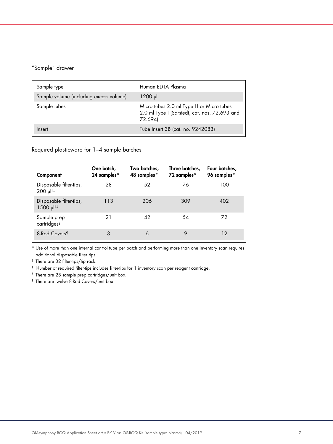## "Sample" drawer

| Sample type                             | Human EDTA Plasma                                                                                    |
|-----------------------------------------|------------------------------------------------------------------------------------------------------|
| Sample volume (including excess volume) | $1200 \mu$                                                                                           |
| Sample tubes                            | Micro tubes 2.0 ml Type H or Micro tubes<br>2.0 ml Type I (Sarstedt, cat. nos. 72.693 and<br>72.694) |
| Insert                                  | Tube Insert 3B (cat. no. 9242083)                                                                    |

Required plasticware for 1–4 sample batches

| Component                                               | One batch,<br>24 samples* | Two batches,<br>48 samples* | Three batches,<br>72 samples* | Four batches,<br>96 samples* |
|---------------------------------------------------------|---------------------------|-----------------------------|-------------------------------|------------------------------|
| Disposable filter-tips,<br>200 µl <sup>t‡</sup>         | 28                        | 52                          | 76                            | 100                          |
| Disposable filter-tips,<br>$1500$ $\mu$   <sup>†‡</sup> | 113                       | 206                         | 309                           | 402                          |
| Sample prep<br>cartridges <sup>§</sup>                  | 21                        | 42                          | 54                            | 72                           |
| 8-Rod Covers <sup>1</sup>                               | 3                         | 6                           | 9                             | 12                           |

\* Use of more than one internal control tube per batch and performing more than one inventory scan requires additional disposable filter tips.

† There are 32 filter-tips/tip rack.

‡ Number of required filter-tips includes filter-tips for 1 inventory scan per reagent cartridge.

§ There are 28 sample prep cartridges/unit box.

¶ There are twelve 8-Rod Covers/unit box.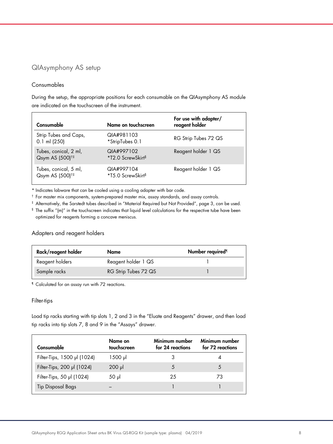# QIAsymphony AS setup

#### Consumables

During the setup, the appropriate positions for each consumable on the QIAsymphony AS module are indicated on the touchscreen of the instrument.

| Consumable                                           | Name on touchscreen                         | For use with adapter/<br>reagent holder |
|------------------------------------------------------|---------------------------------------------|-----------------------------------------|
| Strip Tubes and Caps,<br>$0.1$ ml (250)              | QIA#981103<br>*StripTubes 0.1               | RG Strip Tubes 72 QS                    |
| Tubes, conical, 2 ml,<br>Qsym AS (500) <sup>†‡</sup> | QIA#997102<br>*T2.0 ScrewSkirt <sup>§</sup> | Reagent holder 1 QS                     |
| Tubes, conical, 5 ml,<br>Qsym AS (500) <sup>†‡</sup> | QIA#997104<br>*T5.0 ScrewSkirt <sup>§</sup> | Reagent holder 1 QS                     |

\* Indicates labware that can be cooled using a cooling adapter with bar code.

† For master mix components, system-prepared master mix, assay standards, and assay controls.

‡ Alternatively, the Sarstedt tubes described in "Material Required but Not Provided", page 3, can be used.

§ The suffix "(m)" in the touchscreen indicates that liquid level calculations for the respective tube have been optimized for reagents forming a concave meniscus.

### Adapters and reagent holders

| Rack/reagent holder | Name                 | Number required <sup>1</sup> |
|---------------------|----------------------|------------------------------|
| Reagent holders     | Reagent holder 1 QS  |                              |
| Sample racks        | RG Strip Tubes 72 QS |                              |

¶ Calculated for an assay run with 72 reactions.

#### Filter-tips

Load tip racks starting with tip slots 1, 2 and 3 in the "Eluate and Reagents" drawer, and then load tip racks into tip slots 7, 8 and 9 in the "Assays" drawer.

| Consumable                  | Name on<br>touchscreen | Minimum number<br>for 24 reactions | Minimum number<br>for 72 reactions |
|-----------------------------|------------------------|------------------------------------|------------------------------------|
| Filter-Tips, 1500 µl (1024) | 1500 µl                |                                    |                                    |
| Filter-Tips, 200 µl (1024)  | $200$ $\mu$            |                                    | 5                                  |
| Filter-Tips, 50 µl (1024)   | 50 µl                  | 25                                 | 73                                 |
| <b>Tip Disposal Bags</b>    |                        |                                    |                                    |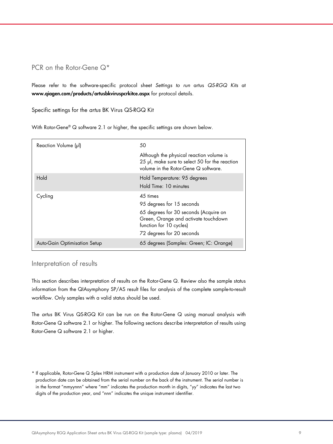## PCR on the Rotor-Gene Q<sup>\*</sup>

Please refer to the software-specific protocol sheet *Settings to run* artus *QS-RGQ Kits* at www.qiagen.com/products/artusbkviruspcrkitce.aspx for protocol details.

Specific settings for the *artus* BK Virus QS-RGQ Kit

With Rotor-Gene® Q software 2.1 or higher, the specific settings are shown below.

| Reaction Volume (µl)         | 50                                                                                                                                 |
|------------------------------|------------------------------------------------------------------------------------------------------------------------------------|
|                              | Although the physical reaction volume is<br>25 µl, make sure to select 50 for the reaction<br>volume in the Rotor-Gene Q software. |
| Hold                         | Hold Temperature: 95 degrees<br>Hold Time: 10 minutes                                                                              |
| Cycling                      | 45 times                                                                                                                           |
|                              | 95 degrees for 15 seconds                                                                                                          |
|                              | 65 degrees for 30 seconds (Acquire on<br>Green, Orange and activate touchdown<br>function for 10 cycles)                           |
|                              | 72 degrees for 20 seconds                                                                                                          |
| Auto-Gain Optimisation Setup | 65 degrees (Samples: Green; IC: Orange)                                                                                            |

### Interpretation of results

This section describes interpretation of results on the Rotor-Gene Q. Review also the sample status information from the QIAsymphony SP/AS result files for analysis of the complete sample-to-result workflow. Only samples with a valid status should be used.

The *artus* BK Virus QS-RGQ Kit can be run on the Rotor-Gene Q using manual analysis with Rotor-Gene Q software 2.1 or higher. The following sections describe interpretation of results using Rotor-Gene Q software 2.1 or higher.

<sup>\*</sup> If applicable, Rotor-Gene Q 5plex HRM instrument with a production date of January 2010 or later. The production date can be obtained from the serial number on the back of the instrument. The serial number is in the format "mmyynnn" where "mm" indicates the production month in digits, "yy" indicates the last two digits of the production year, and "nnn" indicates the unique instrument identifier.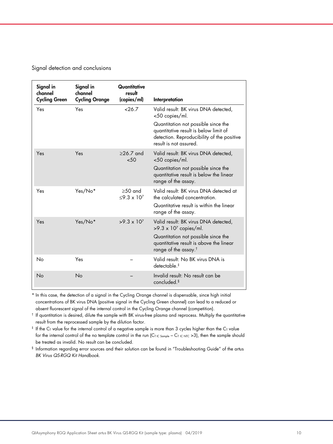Signal detection and conclusions

| Signal in<br>channel<br><b>Cycling Green</b> | Signal in<br>channel<br><b>Cycling Orange</b> | Quantitative<br>result<br>(copies/ml)  | Interpretation                                                                                                                                       |
|----------------------------------------------|-----------------------------------------------|----------------------------------------|------------------------------------------------------------------------------------------------------------------------------------------------------|
| Yes                                          | Yes                                           | 26.7                                   | Valid result: BK virus DNA detected.<br><50 copies/ml.                                                                                               |
|                                              |                                               |                                        | Quantitation not possible since the<br>quantitative result is below limit of<br>detection. Reproducibility of the positive<br>result is not assured. |
| Yes                                          | Yes                                           | $>26.7$ and<br>50<                     | Valid result: BK virus DNA detected,<br><50 copies/ml.                                                                                               |
|                                              |                                               |                                        | Quantitation not possible since the<br>quantitative result is below the linear<br>range of the assay.                                                |
| Yes                                          | Yes/No*                                       | $>50$ and<br>$<$ 9.3 x 10 <sup>7</sup> | Valid result: BK virus DNA detected at<br>the calculated concentration.                                                                              |
|                                              |                                               |                                        | Quantitative result is within the linear<br>range of the assay.                                                                                      |
| Yes                                          | Yes/No*                                       | $>9.3 \times 10^{7}$                   | Valid result: BK virus DNA detected,<br>$>9.3 \times 10^7$ copies/ml.                                                                                |
|                                              |                                               |                                        | Quantitation not possible since the<br>quantitative result is above the linear<br>range of the assay. <sup>†</sup>                                   |
| No                                           | Yes                                           |                                        | Valid result: No BK virus DNA is<br>detectable. <sup>‡</sup>                                                                                         |
| No                                           | No                                            |                                        | Invalid result: No result can be<br>concluded. <sup>§</sup>                                                                                          |

\* In this case, the detection of a signal in the Cycling Orange channel is dispensable, since high initial concentrations of BK virus DNA (positive signal in the Cycling Green channel) can lead to a reduced or absent fluorescent signal of the internal control in the Cycling Orange channel (competition).

† If quantitation is desired, dilute the sample with BK virus-free plasma and reprocess. Multiply the quantitative result from the reprocessed sample by the dilution factor.

 $*$  If the C<sub>T</sub> value for the internal control of a negative sample is more than 3 cycles higher than the C<sub>T</sub> value for the internal control of the no template control in the run (CT IC Sample – CT IC NTC >3), then the sample should be treated as invalid. No result can be concluded.

§ Information regarding error sources and their solution can be found in "Troubleshooting Guide" of the artus *BK Virus QS-RGQ Kit Handbook*.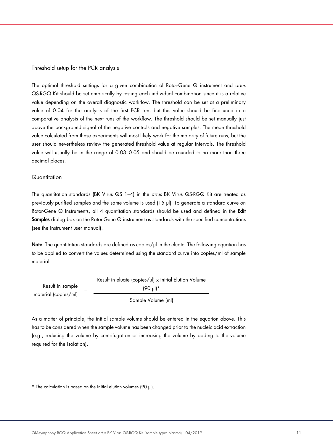#### Threshold setup for the PCR analysis

The optimal threshold settings for a given combination of Rotor-Gene Q instrument and *artus* QS-RGQ Kit should be set empirically by testing each individual combination since it is a relative value depending on the overall diagnostic workflow. The threshold can be set at a preliminary value of 0.04 for the analysis of the first PCR run, but this value should be fine-tuned in a comparative analysis of the next runs of the workflow. The threshold should be set manually just above the background signal of the negative controls and negative samples. The mean threshold value calculated from these experiments will most likely work for the majority of future runs, but the user should nevertheless review the generated threshold value at regular intervals. The threshold value will usually be in the range of 0.03–0.05 and should be rounded to no more than three decimal places.

#### **Quantitation**

The quantitation standards (BK Virus QS 1–4) in the *artus* BK Virus QS-RGQ Kit are treated as previously purified samples and the same volume is used (15 µl). To generate a standard curve on Rotor-Gene Q Instruments, all 4 quantitation standards should be used and defined in the Edit Samples dialog box on the Rotor-Gene Q instrument as standards with the specified concentrations (see the instrument user manual).

Note: The quantitation standards are defined as copies/µl in the eluate. The following equation has to be applied to convert the values determined using the standard curve into copies/ml of sample material.

Result in sample material (copies/ml) <sup>=</sup> Result in eluate (copies/µl) x Initial Elution Volume (90 µl)\* Sample Volume (ml)

As a matter of principle, the initial sample volume should be entered in the equation above. This has to be considered when the sample volume has been changed prior to the nucleic acid extraction (e.g., reducing the volume by centrifugation or increasing the volume by adding to the volume required for the isolation).

\* The calculation is based on the initial elution volumes (90 µl).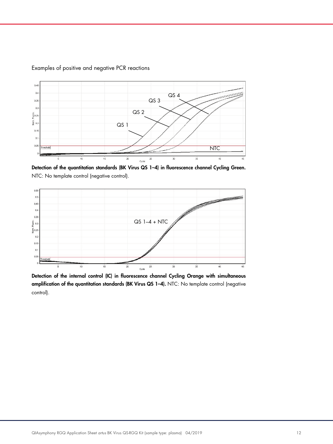

#### Examples of positive and negative PCR reactions

Detection of the quantitation standards (BK Virus QS 1-4) in fluorescence channel Cycling Green. NTC: No template control (negative control).



Detection of the internal control (IC) in fluorescence channel Cycling Orange with simultaneous amplification of the quantitation standards (BK Virus QS 1–4). NTC: No template control (negative control).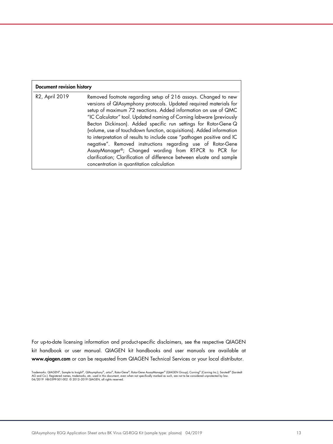| <b>Document revision history</b> |                                                                                                                                                                                                                                                                                                                                                                                                                                                                                                                                                                                                                                                                                                                                                |  |  |
|----------------------------------|------------------------------------------------------------------------------------------------------------------------------------------------------------------------------------------------------------------------------------------------------------------------------------------------------------------------------------------------------------------------------------------------------------------------------------------------------------------------------------------------------------------------------------------------------------------------------------------------------------------------------------------------------------------------------------------------------------------------------------------------|--|--|
| R2, April 2019                   | Removed footnote regarding setup of 216 assays. Changed to new<br>versions of QIAsymphony protocols. Updated required materials for<br>setup of maximum 72 reactions. Added information on use of QMC<br>"IC Calculator" tool. Updated naming of Corning labware (previously<br>Becton Dickinson). Added specific run settings for Rotor-Gene Q<br>(volume, use of touchdown function, acquisitions). Added information<br>to interpretation of results to include case "pathogen positive and IC<br>negative". Removed instructions regarding use of Rotor-Gene<br>AssayManager®; Changed wording from RT-PCR to PCR for<br>clarification; Clarification of difference between eluate and sample<br>concentration in quantitation calculation |  |  |

For up-to-date licensing information and product-specific disclaimers, see the respective QIAGEN kit handbook or user manual. QIAGEN kit handbooks and user manuals are available at www.qiagen.com or can be requested from QIAGEN Technical Services or your local distributor.

Trademarks: QIAGEN®, Sample to Insighl®, QIAsymphony®, *artus*®, Rotor-Gene & SacayManager® (QIAGEN Group); Corning® (Corning Inc.); Sarstedt® (Sarstedt<br>AG and Co.). Registered names, trademarks, etc. used in this document